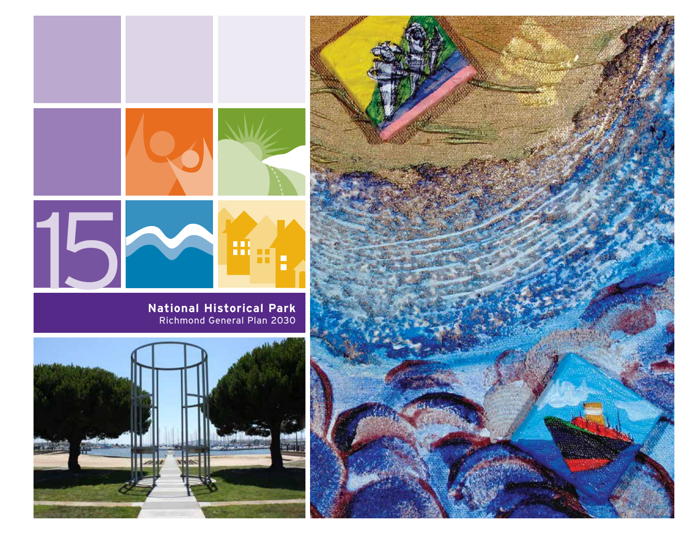

**National Historical Park** Richmond General Plan 2030



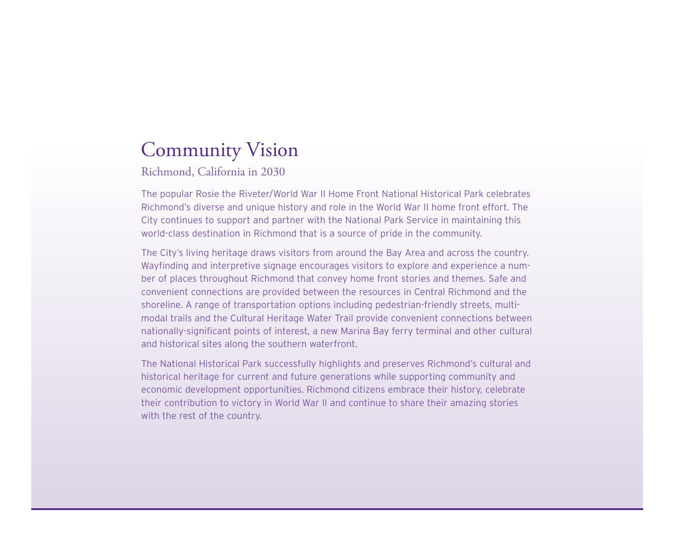# Community Vision

Richmond, California in 2030

The popular Rosie the Riveter/World War II Home Front National Historical Park celebrates Richmond's diverse and unique history and role in the World War II home front effort. The City continues to support and partner with the National Park Service in maintaining this world-class destination in Richmond that is a source of pride in the community.

The City's living heritage draws visitors from around the Bay Area and across the country. Wayfinding and interpretive signage encourages visitors to explore and experience a number of places throughout Richmond that convey home front stories and themes. Safe and convenient connections are provided between the resources in Central Richmond and the shoreline. A range of transportation options including pedestrian-friendly streets, multimodal trails and the Cultural Heritage Water Trail provide convenient connections between nationally-significant points of interest, a new Marina Bay ferry terminal and other cultural and historical sites along the southern waterfront.

The National Historical Park successfully highlights and preserves Richmond's cultural and historical heritage for current and future generations while supporting community and economic development opportunities. Richmond citizens embrace their history, celebrate their contribution to victory in World War II and continue to share their amazing stories with the rest of the country.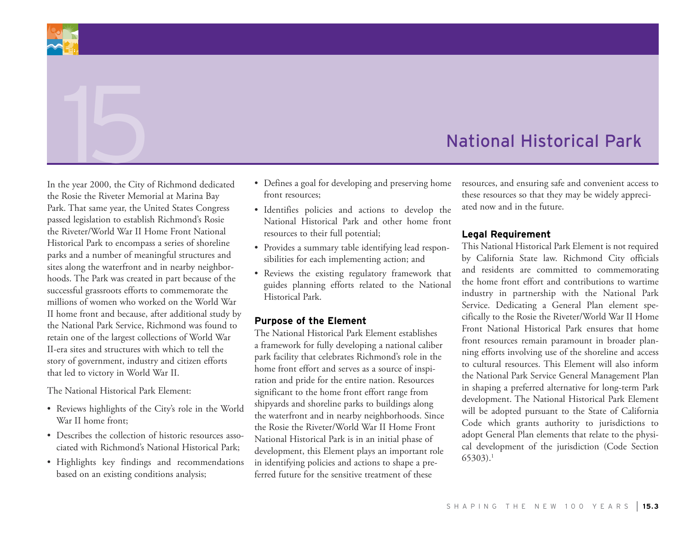# National Historical Park

In the year 2000, the City of Richmond dedicated the Rosie the Riveter Memorial at Marina Bay Park. That same year, the United States Congress passed legislation to establish Richmond's Rosie the Riveter/World War II Home Front National Historical Park to encompass a series of shoreline parks and a number of meaningful structures and sites along the waterfront and in nearby neighborhoods. The Park was created in part because of the successful grassroots efforts to commemorate the millions of women who worked on the World War II home front and because, after additional study by the National Park Service, Richmond was found to retain one of the largest collections of World War II-era sites and structures with which to tell the story of government, industry and citizen efforts that led to victory in World War II.

The National Historical Park Element:

- • Reviews highlights of the City's role in the World War II home front;
- Describes the collection of historic resources associated with Richmond's National Historical Park;
- • Highlights key findings and recommendations based on an existing conditions analysis;
- Defines a goal for developing and preserving home front resources;
- • Identifies policies and actions to develop the National Historical Park and other home front resources to their full potential;
- Provides a summary table identifying lead responsibilities for each implementing action; and
- • Reviews the existing regulatory framework that guides planning efforts related to the National Historical Park.

### **Purpose of the Element**

The National Historical Park Element establishes a framework for fully developing a national caliber park facility that celebrates Richmond's role in the home front effort and serves as a source of inspiration and pride for the entire nation. Resources significant to the home front effort range from shipyards and shoreline parks to buildings along the waterfront and in nearby neighborhoods. Since the Rosie the Riveter/World War II Home Front National Historical Park is in an initial phase of development, this Element plays an important role in identifying policies and actions to shape a preferred future for the sensitive treatment of these

resources, and ensuring safe and convenient access to these resources so that they may be widely appreciated now and in the future.

### **Legal Requirement**

This National Historical Park Element is not required by California State law. Richmond City officials and residents are committed to commemorating the home front effort and contributions to wartime industry in partnership with the National Park Service. Dedicating a General Plan element specifically to the Rosie the Riveter/World War II Home Front National Historical Park ensures that home front resources remain paramount in broader planning efforts involving use of the shoreline and access to cultural resources. This Element will also inform the National Park Service General Management Plan in shaping a preferred alternative for long-term Park development. The National Historical Park Element will be adopted pursuant to the State of California Code which grants authority to jurisdictions to adopt General Plan elements that relate to the physical development of the jurisdiction (Code Section 65303).1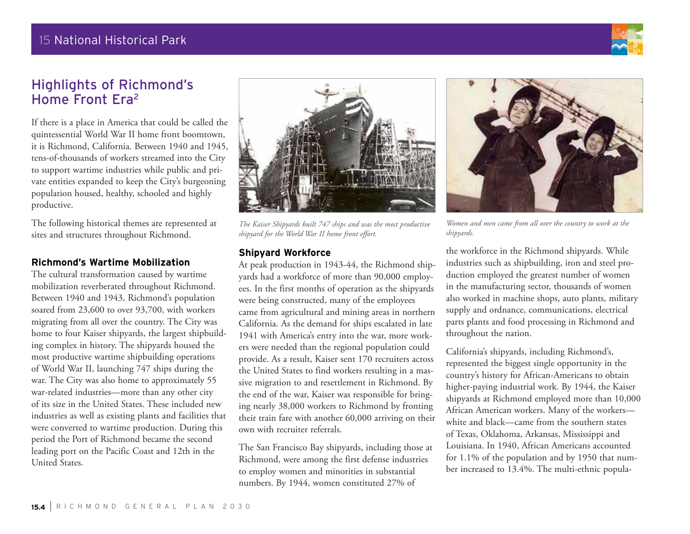# Highlights of Richmond's Home Front Era2

If there is a place in America that could be called the quintessential World War II home front boomtown, it is Richmond, California. Between 1940 and 1945, tens-of-thousands of workers streamed into the City to support wartime industries while public and private entities expanded to keep the City's burgeoning population housed, healthy, schooled and highly productive.

The following historical themes are represented at sites and structures throughout Richmond.

### **Richmond's Wartime Mobilization**

The cultural transformation caused by wartime mobilization reverberated throughout Richmond. Between 1940 and 1943, Richmond's population soared from 23,600 to over 93,700, with workers migrating from all over the country. The City was home to four Kaiser shipyards, the largest shipbuilding complex in history. The shipyards housed the most productive wartime shipbuilding operations of World War II, launching 747 ships during the war. The City was also home to approximately 55 war-related industries—more than any other city of its size in the United States. These included new industries as well as existing plants and facilities that were converted to wartime production. During this period the Port of Richmond became the second leading port on the Pacific Coast and 12th in the United States.

*The Kaiser Shipyards built 747 ships and was the most productive shipyard for the World War II home front effort.* 

### **Shipyard Workforce**

At peak production in 1943-44, the Richmond shipyards had a workforce of more than 90,000 employees. In the first months of operation as the shipyards were being constructed, many of the employees came from agricultural and mining areas in northern California. As the demand for ships escalated in late 1941 with America's entry into the war, more workers were needed than the regional population could provide. As a result, Kaiser sent 170 recruiters across the United States to find workers resulting in a massive migration to and resettlement in Richmond. By the end of the war, Kaiser was responsible for bringing nearly 38,000 workers to Richmond by fronting their train fare with another 60,000 arriving on their own with recruiter referrals.

The San Francisco Bay shipyards, including those at Richmond, were among the first defense industries to employ women and minorities in substantial numbers. By 1944, women constituted 27% of

*Women and men came from all over the country to work at the shipyards.*

the workforce in the Richmond shipyards. While industries such as shipbuilding, iron and steel production employed the greatest number of women in the manufacturing sector, thousands of women also worked in machine shops, auto plants, military supply and ordnance, communications, electrical parts plants and food processing in Richmond and throughout the nation.

California's shipyards, including Richmond's, represented the biggest single opportunity in the country's history for African-Americans to obtain higher-paying industrial work. By 1944, the Kaiser shipyards at Richmond employed more than 10,000 African American workers. Many of the workers white and black—came from the southern states of Texas, Oklahoma, Arkansas, Mississippi and Louisiana. In 1940, African Americans accounted for 1.1% of the population and by 1950 that number increased to 13.4%. The multi-ethnic popula-



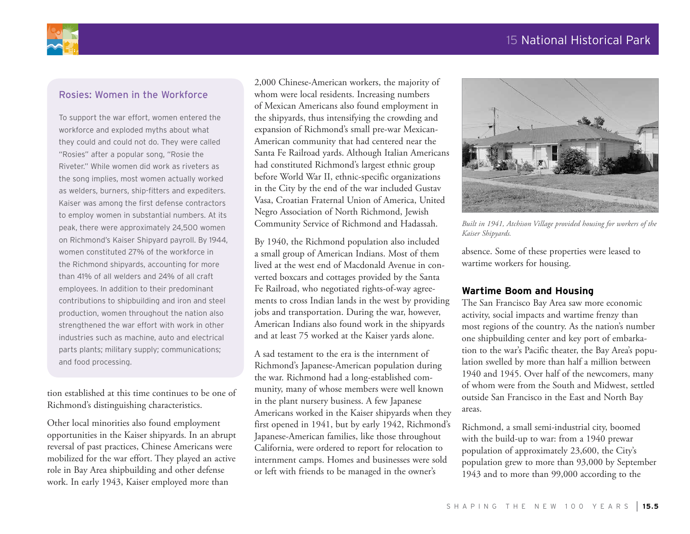

### Rosies: Women in the Workforce

To support the war effort, women entered the workforce and exploded myths about what they could and could not do. They were called "Rosies" after a popular song, "Rosie the Riveter." While women did work as riveters as the song implies, most women actually worked as welders, burners, ship-fitters and expediters. Kaiser was among the first defense contractors to employ women in substantial numbers. At its peak, there were approximately 24,500 women on Richmond's Kaiser Shipyard payroll. By 1944, women constituted 27% of the workforce in the Richmond shipyards, accounting for more than 41% of all welders and 24% of all craft employees. In addition to their predominant contributions to shipbuilding and iron and steel production, women throughout the nation also strengthened the war effort with work in other industries such as machine, auto and electrical parts plants; military supply; communications; and food processing.

tion established at this time continues to be one of Richmond's distinguishing characteristics.

Other local minorities also found employment opportunities in the Kaiser shipyards. In an abrupt reversal of past practices, Chinese Americans were mobilized for the war effort. They played an active role in Bay Area shipbuilding and other defense work. In early 1943, Kaiser employed more than

2,000 Chinese-American workers, the majority of whom were local residents. Increasing numbers of Mexican Americans also found employment in the shipyards, thus intensifying the crowding and expansion of Richmond's small pre-war Mexican-American community that had centered near the Santa Fe Railroad yards. Although Italian Americans had constituted Richmond's largest ethnic group before World War II, ethnic-specific organizations in the City by the end of the war included Gustav Vasa, Croatian Fraternal Union of America, United Negro Association of North Richmond, Jewish Community Service of Richmond and Hadassah.

By 1940, the Richmond population also included a small group of American Indians. Most of them lived at the west end of Macdonald Avenue in converted boxcars and cottages provided by the Santa Fe Railroad, who negotiated rights-of-way agreements to cross Indian lands in the west by providing jobs and transportation. During the war, however, American Indians also found work in the shipyards and at least 75 worked at the Kaiser yards alone.

A sad testament to the era is the internment of Richmond's Japanese-American population during the war. Richmond had a long-established community, many of whose members were well known in the plant nursery business. A few Japanese Americans worked in the Kaiser shipyards when they first opened in 1941, but by early 1942, Richmond's Japanese-American families, like those throughout California, were ordered to report for relocation to internment camps. Homes and businesses were sold or left with friends to be managed in the owner's



*Built in 1941, Atchison Village provided housing for workers of the Kaiser Shipyards.*

absence. Some of these properties were leased to wartime workers for housing.

### **Wartime Boom and Housing**

The San Francisco Bay Area saw more economic activity, social impacts and wartime frenzy than most regions of the country. As the nation's number one shipbuilding center and key port of embarkation to the war's Pacific theater, the Bay Area's population swelled by more than half a million between 1940 and 1945. Over half of the newcomers, many of whom were from the South and Midwest, settled outside San Francisco in the East and North Bay areas.

Richmond, a small semi-industrial city, boomed with the build-up to war: from a 1940 prewar population of approximately 23,600, the City's population grew to more than 93,000 by September 1943 and to more than 99,000 according to the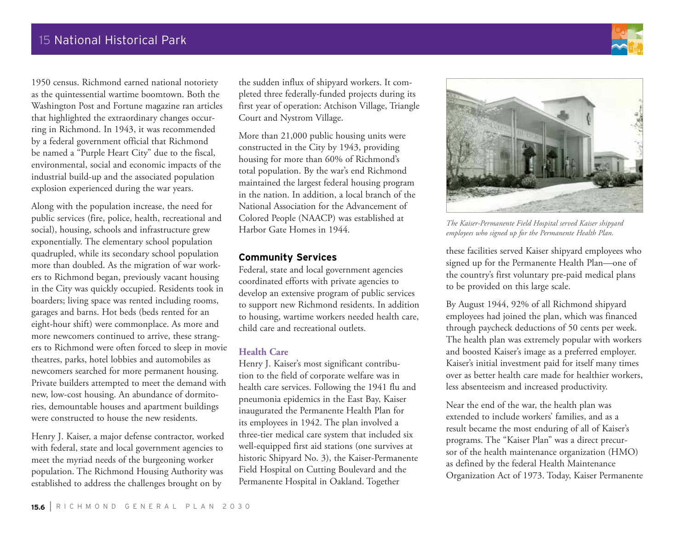1950 census. Richmond earned national notoriety as the quintessential wartime boomtown. Both the Washington Post and Fortune magazine ran articles that highlighted the extraordinary changes occurring in Richmond. In 1943, it was recommended by a federal government official that Richmond be named a "Purple Heart City" due to the fiscal, environmental, social and economic impacts of the industrial build-up and the associated population explosion experienced during the war years.

Along with the population increase, the need for public services (fire, police, health, recreational and social), housing, schools and infrastructure grew exponentially. The elementary school population quadrupled, while its secondary school population more than doubled. As the migration of war workers to Richmond began, previously vacant housing in the City was quickly occupied. Residents took in boarders; living space was rented including rooms, garages and barns. Hot beds (beds rented for an eight-hour shift) were commonplace. As more and more newcomers continued to arrive, these strangers to Richmond were often forced to sleep in movie theatres, parks, hotel lobbies and automobiles as newcomers searched for more permanent housing. Private builders attempted to meet the demand with new, low-cost housing. An abundance of dormitories, demountable houses and apartment buildings were constructed to house the new residents.

Henry J. Kaiser, a major defense contractor, worked with federal, state and local government agencies to meet the myriad needs of the burgeoning worker population. The Richmond Housing Authority was established to address the challenges brought on by

the sudden influx of shipyard workers. It completed three federally-funded projects during its first year of operation: Atchison Village, Triangle Court and Nystrom Village.

More than 21,000 public housing units were constructed in the City by 1943, providing housing for more than 60% of Richmond's total population. By the war's end Richmond maintained the largest federal housing program in the nation. In addition, a local branch of the National Association for the Advancement of Colored People (NAACP) was established at Harbor Gate Homes in 1944.

### **Community Services**

Federal, state and local government agencies coordinated efforts with private agencies to develop an extensive program of public services to support new Richmond residents. In addition to housing, wartime workers needed health care, child care and recreational outlets.

### **Health Care**

Henry J. Kaiser's most significant contribution to the field of corporate welfare was in health care services. Following the 1941 flu and pneumonia epidemics in the East Bay, Kaiser inaugurated the Permanente Health Plan for its employees in 1942. The plan involved a three-tier medical care system that included six well-equipped first aid stations (one survives at historic Shipyard No. 3), the Kaiser-Permanente Field Hospital on Cutting Boulevard and the Permanente Hospital in Oakland. Together



*The Kaiser-Permanente Field Hospital served Kaiser shipyard employees who signed up for the Permanente Health Plan.*

these facilities served Kaiser shipyard employees who signed up for the Permanente Health Plan—one of the country's first voluntary pre-paid medical plans to be provided on this large scale.

By August 1944, 92% of all Richmond shipyard employees had joined the plan, which was financed through paycheck deductions of 50 cents per week. The health plan was extremely popular with workers and boosted Kaiser's image as a preferred employer. Kaiser's initial investment paid for itself many times over as better health care made for healthier workers, less absenteeism and increased productivity.

Near the end of the war, the health plan was extended to include workers' families, and as a result became the most enduring of all of Kaiser's programs. The "Kaiser Plan" was a direct precursor of the health maintenance organization (HMO) as defined by the federal Health Maintenance Organization Act of 1973. Today, Kaiser Permanente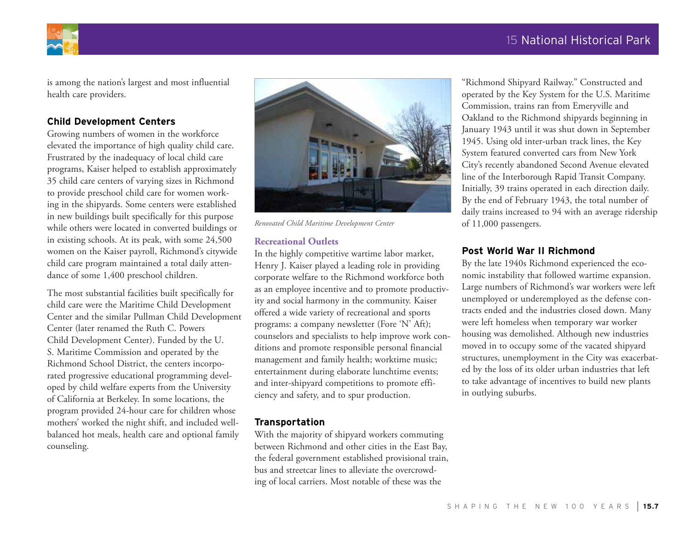



is among the nation's largest and most influential health care providers.

### **Child Development Centers**

Growing numbers of women in the workforce elevated the importance of high quality child care. Frustrated by the inadequacy of local child care programs, Kaiser helped to establish approximately 35 child care centers of varying sizes in Richmond to provide preschool child care for women working in the shipyards. Some centers were established in new buildings built specifically for this purpose while others were located in converted buildings or in existing schools. At its peak, with some 24,500 women on the Kaiser payroll, Richmond's citywide child care program maintained a total daily attendance of some 1,400 preschool children.

The most substantial facilities built specifically for child care were the Maritime Child Development Center and the similar Pullman Child Development Center (later renamed the Ruth C. Powers Child Development Center). Funded by the U. S. Maritime Commission and operated by the Richmond School District, the centers incorporated progressive educational programming developed by child welfare experts from the University of California at Berkeley. In some locations, the program provided 24-hour care for children whose mothers' worked the night shift, and included wellbalanced hot meals, health care and optional family counseling.



*Renovated Child Maritime Development Center*

### **Recreational Outlets**

In the highly competitive wartime labor market, Henry J. Kaiser played a leading role in providing corporate welfare to the Richmond workforce both as an employee incentive and to promote productivity and social harmony in the community. Kaiser offered a wide variety of recreational and sports programs: a company newsletter (Fore 'N' Aft); counselors and specialists to help improve work conditions and promote responsible personal financial management and family health; worktime music; entertainment during elaborate lunchtime events; and inter-shipyard competitions to promote efficiency and safety, and to spur production.

### **Transportation**

With the majority of shipyard workers commuting between Richmond and other cities in the East Bay, the federal government established provisional train, bus and streetcar lines to alleviate the overcrowding of local carriers. Most notable of these was the

"Richmond Shipyard Railway." Constructed and operated by the Key System for the U.S. Maritime Commission, trains ran from Emeryville and Oakland to the Richmond shipyards beginning in January 1943 until it was shut down in September 1945. Using old inter-urban track lines, the Key System featured converted cars from New York City's recently abandoned Second Avenue elevated line of the Interborough Rapid Transit Company. Initially, 39 trains operated in each direction daily. By the end of February 1943, the total number of daily trains increased to 94 with an average ridership of 11,000 passengers.

### **Post World War II Richmond**

By the late 1940s Richmond experienced the economic instability that followed wartime expansion. Large numbers of Richmond's war workers were left unemployed or underemployed as the defense contracts ended and the industries closed down. Many were left homeless when temporary war worker housing was demolished. Although new industries moved in to occupy some of the vacated shipyard structures, unemployment in the City was exacerbated by the loss of its older urban industries that left to take advantage of incentives to build new plants in outlying suburbs.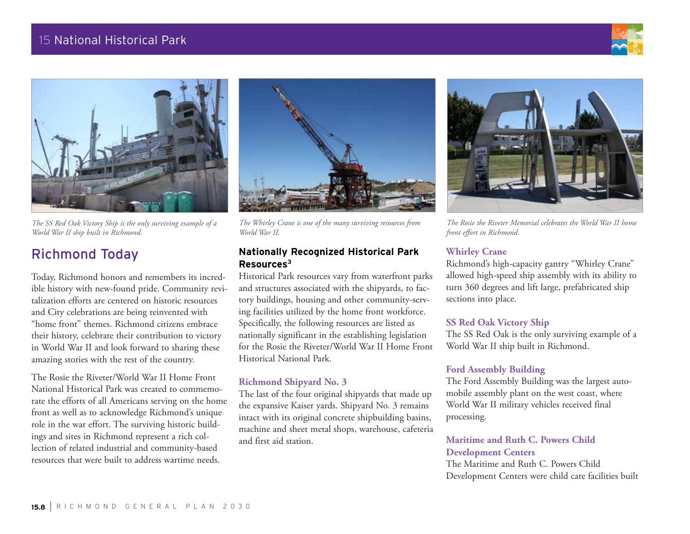# 15 National Historical Park





*The SS Red Oak Victory Ship is the only surviving example of a World War II ship built in Richmond.*

# Richmond Today

Today, Richmond honors and remembers its incredible history with new-found pride. Community revitalization efforts are centered on historic resources and City celebrations are being reinvented with "home front" themes. Richmond citizens embrace their history, celebrate their contribution to victory in World War II and look forward to sharing these amazing stories with the rest of the country.

The Rosie the Riveter/World War II Home Front National Historical Park was created to commemorate the efforts of all Americans serving on the home front as well as to acknowledge Richmond's unique role in the war effort. The surviving historic buildings and sites in Richmond represent a rich collection of related industrial and community-based resources that were built to address wartime needs.



*The Whirley Crane is one of the many surviving resources from World War II.*

### **Nationally Recognized Historical Park Resources3**

Historical Park resources vary from waterfront parks and structures associated with the shipyards, to factory buildings, housing and other community-serving facilities utilized by the home front workforce. Specifically, the following resources are listed as nationally significant in the establishing legislation for the Rosie the Riveter/World War II Home Front Historical National Park.

### **Richmond Shipyard No. 3**

The last of the four original shipyards that made up the expansive Kaiser yards. Shipyard No. 3 remains intact with its original concrete shipbuilding basins, machine and sheet metal shops, warehouse, cafeteria and first aid station.



*The Rosie the Riveter Memorial celebrates the World War II home front effort in Richmond.*

### **Whirley Crane**

Richmond's high-capacity gantry "Whirley Crane" allowed high-speed ship assembly with its ability to turn 360 degrees and lift large, prefabricated ship sections into place.

### **SS Red Oak Victory Ship**

The SS Red Oak is the only surviving example of a World War II ship built in Richmond.

### **Ford Assembly Building**

The Ford Assembly Building was the largest automobile assembly plant on the west coast, where World War II military vehicles received final processing.

### **Maritime and Ruth C. Powers Child Development Centers**

The Maritime and Ruth C. Powers Child Development Centers were child care facilities built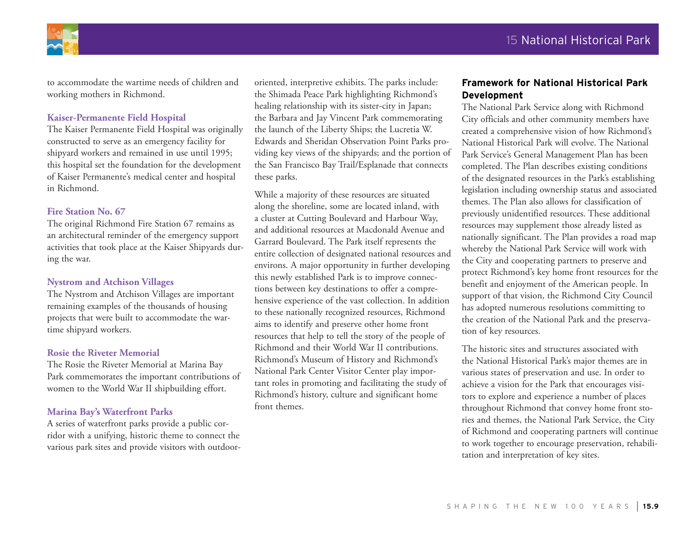

to accommodate the wartime needs of children and working mothers in Richmond.

### **Kaiser-Permanente Field Hospital**

The Kaiser Permanente Field Hospital was originally constructed to serve as an emergency facility for shipyard workers and remained in use until 1995; this hospital set the foundation for the development of Kaiser Permanente's medical center and hospital in Richmond.

### **Fire Station No. 67**

The original Richmond Fire Station 67 remains as an architectural reminder of the emergency support activities that took place at the Kaiser Shipyards during the war.

### **Nystrom and Atchison Villages**

The Nystrom and Atchison Villages are important remaining examples of the thousands of housing projects that were built to accommodate the wartime shipyard workers.

### **Rosie the Riveter Memorial**

The Rosie the Riveter Memorial at Marina Bay Park commemorates the important contributions of women to the World War II shipbuilding effort.

### **Marina Bay's Waterfront Parks**

A series of waterfront parks provide a public corridor with a unifying, historic theme to connect the various park sites and provide visitors with outdoororiented, interpretive exhibits. The parks include: the Shimada Peace Park highlighting Richmond's healing relationship with its sister-city in Japan; the Barbara and Jay Vincent Park commemorating the launch of the Liberty Ships; the Lucretia W. Edwards and Sheridan Observation Point Parks providing key views of the shipyards; and the portion of the San Francisco Bay Trail/Esplanade that connects these parks.

While a majority of these resources are situated along the shoreline, some are located inland, with a cluster at Cutting Boulevard and Harbour Way, and additional resources at Macdonald Avenue and Garrard Boulevard. The Park itself represents the entire collection of designated national resources and environs. A major opportunity in further developing this newly established Park is to improve connections between key destinations to offer a comprehensive experience of the vast collection. In addition to these nationally recognized resources, Richmond aims to identify and preserve other home front resources that help to tell the story of the people of Richmond and their World War II contributions. Richmond's Museum of History and Richmond's National Park Center Visitor Center play important roles in promoting and facilitating the study of Richmond's history, culture and significant home front themes.

### **Framework for National Historical Park Development**

The National Park Service along with Richmond City officials and other community members have created a comprehensive vision of how Richmond's National Historical Park will evolve. The National Park Service's General Management Plan has been completed. The Plan describes existing conditions of the designated resources in the Park's establishing legislation including ownership status and associated themes. The Plan also allows for classification of previously unidentified resources. These additional resources may supplement those already listed as nationally significant. The Plan provides a road map whereby the National Park Service will work with the City and cooperating partners to preserve and protect Richmond's key home front resources for the benefit and enjoyment of the American people. In support of that vision, the Richmond City Council has adopted numerous resolutions committing to the creation of the National Park and the preservation of key resources.

The historic sites and structures associated with the National Historical Park's major themes are in various states of preservation and use. In order to achieve a vision for the Park that encourages visitors to explore and experience a number of places throughout Richmond that convey home front stories and themes, the National Park Service, the City of Richmond and cooperating partners will continue to work together to encourage preservation, rehabilitation and interpretation of key sites.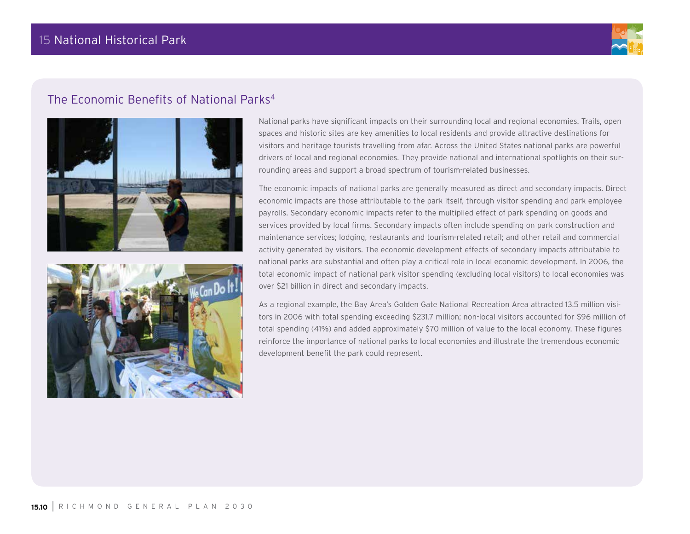

# The Economic Benefits of National Parks<sup>4</sup>





National parks have significant impacts on their surrounding local and regional economies. Trails, open spaces and historic sites are key amenities to local residents and provide attractive destinations for visitors and heritage tourists travelling from afar. Across the United States national parks are powerful drivers of local and regional economies. They provide national and international spotlights on their surrounding areas and support a broad spectrum of tourism-related businesses.

The economic impacts of national parks are generally measured as direct and secondary impacts. Direct economic impacts are those attributable to the park itself, through visitor spending and park employee payrolls. Secondary economic impacts refer to the multiplied effect of park spending on goods and services provided by local firms. Secondary impacts often include spending on park construction and maintenance services; lodging, restaurants and tourism-related retail; and other retail and commercial activity generated by visitors. The economic development effects of secondary impacts attributable to national parks are substantial and often play a critical role in local economic development. In 2006, the total economic impact of national park visitor spending (excluding local visitors) to local economies was over \$21 billion in direct and secondary impacts.

As a regional example, the Bay Area's Golden Gate National Recreation Area attracted 13.5 million visitors in 2006 with total spending exceeding \$231.7 million; non-local visitors accounted for \$96 million of total spending (41%) and added approximately \$70 million of value to the local economy. These figures reinforce the importance of national parks to local economies and illustrate the tremendous economic development benefit the park could represent.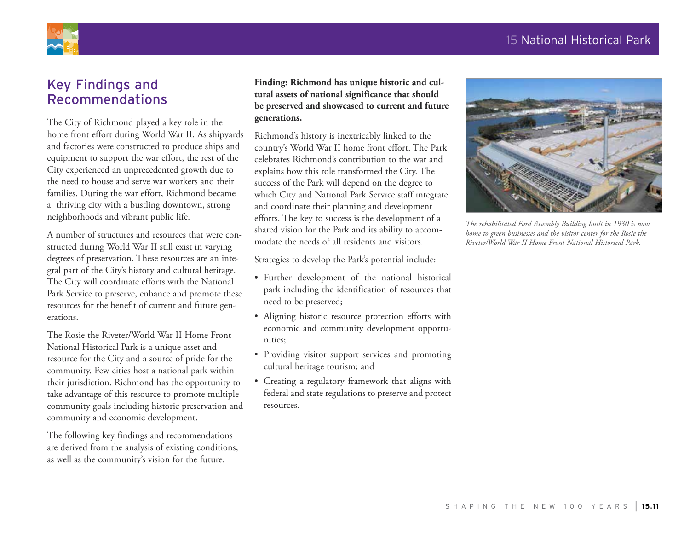## 15 National Historical Park



# Key Findings and Recommendations

The City of Richmond played a key role in the home front effort during World War II. As shipyards and factories were constructed to produce ships and equipment to support the war effort, the rest of the City experienced an unprecedented growth due to the need to house and serve war workers and their families. During the war effort, Richmond became a thriving city with a bustling downtown, strong neighborhoods and vibrant public life.

A number of structures and resources that were constructed during World War II still exist in varying degrees of preservation. These resources are an integral part of the City's history and cultural heritage. The City will coordinate efforts with the National Park Service to preserve, enhance and promote these resources for the benefit of current and future generations.

The Rosie the Riveter/World War II Home Front National Historical Park is a unique asset and resource for the City and a source of pride for the community. Few cities host a national park within their jurisdiction. Richmond has the opportunity to take advantage of this resource to promote multiple community goals including historic preservation and community and economic development.

The following key findings and recommendations are derived from the analysis of existing conditions, as well as the community's vision for the future.

**Finding: Richmond has unique historic and cultural assets of national significance that should be preserved and showcased to current and future generations.**

Richmond's history is inextricably linked to the country's World War II home front effort. The Park celebrates Richmond's contribution to the war and explains how this role transformed the City. The success of the Park will depend on the degree to which City and National Park Service staff integrate and coordinate their planning and development efforts. The key to success is the development of a shared vision for the Park and its ability to accommodate the needs of all residents and visitors.

Strategies to develop the Park's potential include:

- • Further development of the national historical park including the identification of resources that need to be preserved;
- • Aligning historic resource protection efforts with economic and community development opportunities;
- • Providing visitor support services and promoting cultural heritage tourism; and
- • Creating a regulatory framework that aligns with federal and state regulations to preserve and protect resources.



*The rehabilitated Ford Assembly Building built in 1930 is now home to green businesses and the visitor center for the Rosie the Riveter/World War II Home Front National Historical Park.*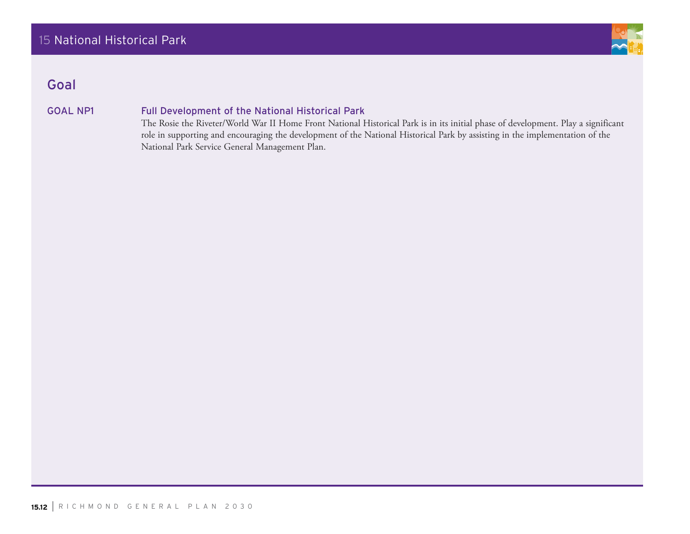

# Goal

### GOAL NP1 Full Development of the National Historical Park

The Rosie the Riveter/World War II Home Front National Historical Park is in its initial phase of development. Play a significant role in supporting and encouraging the development of the National Historical Park by assisting in the implementation of the National Park Service General Management Plan.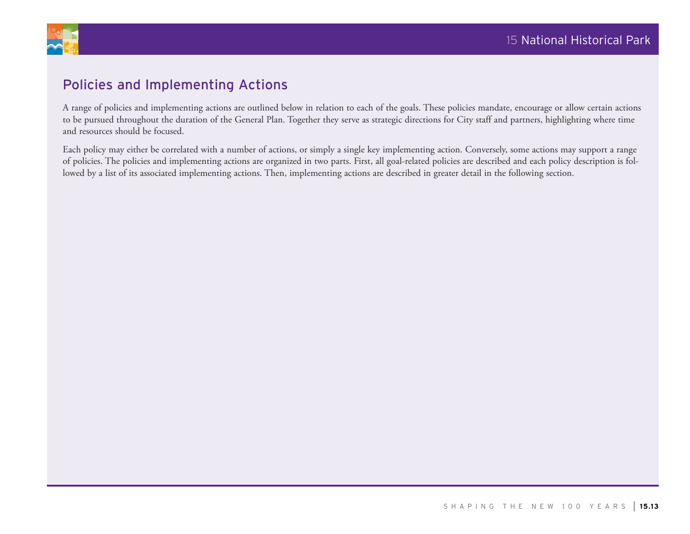

# Policies and Implementing Actions

A range of policies and implementing actions are outlined below in relation to each of the goals. These policies mandate, encourage or allow certain actions to be pursued throughout the duration of the General Plan. Together they serve as strategic directions for City staff and partners, highlighting where time and resources should be focused.

Each policy may either be correlated with a number of actions, or simply a single key implementing action. Conversely, some actions may support a range of policies. The policies and implementing actions are organized in two parts. First, all goal-related policies are described and each policy description is followed by a list of its associated implementing actions. Then, implementing actions are described in greater detail in the following section.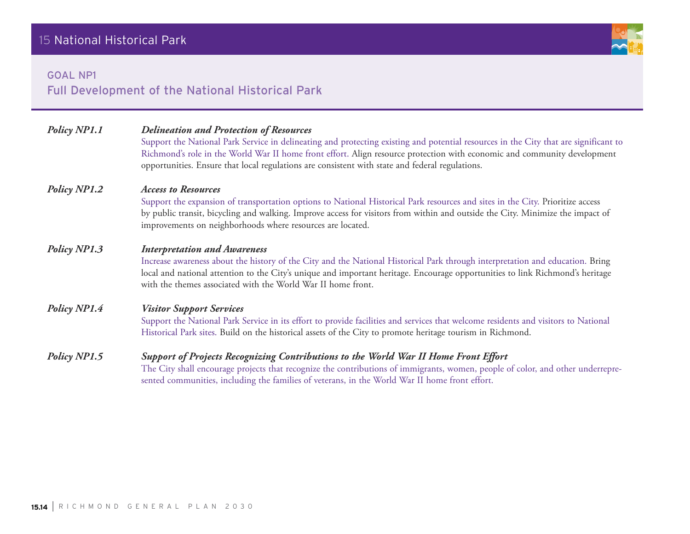### goal np1

Full Development of the National Historical Park

| Policy NP1.1        | <b>Delineation and Protection of Resources</b><br>Support the National Park Service in delineating and protecting existing and potential resources in the City that are significant to<br>Richmond's role in the World War II home front effort. Align resource protection with economic and community development<br>opportunities. Ensure that local regulations are consistent with state and federal regulations. |  |
|---------------------|-----------------------------------------------------------------------------------------------------------------------------------------------------------------------------------------------------------------------------------------------------------------------------------------------------------------------------------------------------------------------------------------------------------------------|--|
| <b>Policy NP1.2</b> | <b>Access to Resources</b><br>Support the expansion of transportation options to National Historical Park resources and sites in the City. Prioritize access<br>by public transit, bicycling and walking. Improve access for visitors from within and outside the City. Minimize the impact of<br>improvements on neighborhoods where resources are located.                                                          |  |
| Policy NP1.3        | <b>Interpretation and Awareness</b><br>Increase awareness about the history of the City and the National Historical Park through interpretation and education. Bring<br>local and national attention to the City's unique and important heritage. Encourage opportunities to link Richmond's heritage<br>with the themes associated with the World War II home front.                                                 |  |
| Policy NP1.4        | <b>Visitor Support Services</b><br>Support the National Park Service in its effort to provide facilities and services that welcome residents and visitors to National<br>Historical Park sites. Build on the historical assets of the City to promote heritage tourism in Richmond.                                                                                                                                   |  |
| Policy NP1.5        | Support of Projects Recognizing Contributions to the World War II Home Front Effort<br>The City shall encourage projects that recognize the contributions of immigrants, women, people of color, and other underrepre-<br>sented communities, including the families of veterans, in the World War II home front effort.                                                                                              |  |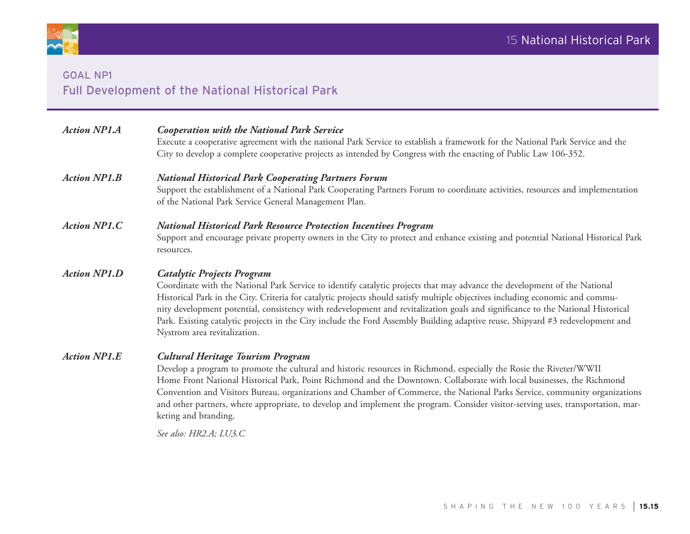

# goal np1 Full Development of the National Historical Park

| <b>Action NP1.A</b> | <b>Cooperation with the National Park Service</b><br>Execute a cooperative agreement with the national Park Service to establish a framework for the National Park Service and the<br>City to develop a complete cooperative projects as intended by Congress with the enacting of Public Law 106-352.                                                                                                                                                                                                                                                                                                       |  |  |
|---------------------|--------------------------------------------------------------------------------------------------------------------------------------------------------------------------------------------------------------------------------------------------------------------------------------------------------------------------------------------------------------------------------------------------------------------------------------------------------------------------------------------------------------------------------------------------------------------------------------------------------------|--|--|
| <b>Action NP1.B</b> | <b>National Historical Park Cooperating Partners Forum</b><br>Support the establishment of a National Park Cooperating Partners Forum to coordinate activities, resources and implementation<br>of the National Park Service General Management Plan.                                                                                                                                                                                                                                                                                                                                                        |  |  |
| <b>Action NP1.C</b> | <b>National Historical Park Resource Protection Incentives Program</b><br>Support and encourage private property owners in the City to protect and enhance existing and potential National Historical Park<br>resources.                                                                                                                                                                                                                                                                                                                                                                                     |  |  |
| <b>Action NP1.D</b> | <b>Catalytic Projects Program</b><br>Coordinate with the National Park Service to identify catalytic projects that may advance the development of the National<br>Historical Park in the City. Criteria for catalytic projects should satisfy multiple objectives including economic and commu-<br>nity development potential, consistency with redevelopment and revitalization goals and significance to the National Historical<br>Park. Existing catalytic projects in the City include the Ford Assembly Building adaptive reuse, Shipyard #3 redevelopment and<br>Nystrom area revitalization.         |  |  |
| <b>Action NP1.E</b> | <b>Cultural Heritage Tourism Program</b><br>Develop a program to promote the cultural and historic resources in Richmond, especially the Rosie the Riveter/WWII<br>Home Front National Historical Park, Point Richmond and the Downtown. Collaborate with local businesses, the Richmond<br>Convention and Visitors Bureau, organizations and Chamber of Commerce, the National Parks Service, community organizations<br>and other partners, where appropriate, to develop and implement the program. Consider visitor-serving uses, transportation, mar-<br>keting and branding.<br>See also: HR2.A; LU3.C |  |  |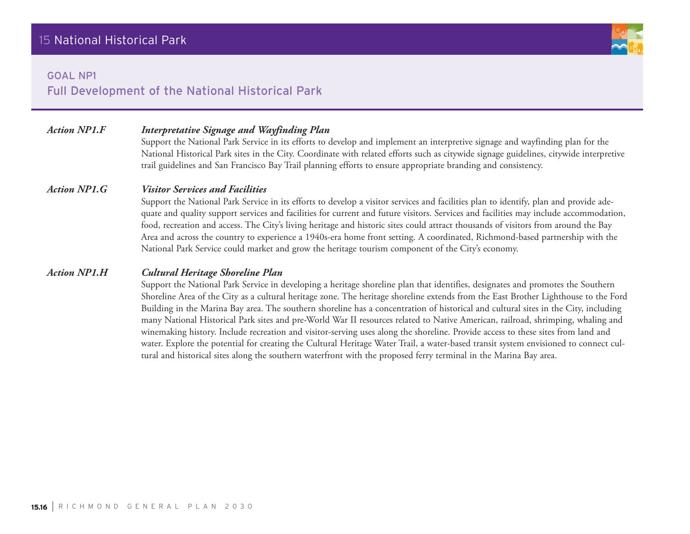### goal np1

### *Action NP1.F Interpretative Signage and Wayfinding Plan*

Support the National Park Service in its efforts to develop and implement an interpretive signage and wayfinding plan for the National Historical Park sites in the City. Coordinate with related efforts such as citywide signage guidelines, citywide interpretive trail guidelines and San Francisco Bay Trail planning efforts to ensure appropriate branding and consistency.

### *Action NP1.G Visitor Services and Facilities*

Support the National Park Service in its efforts to develop a visitor services and facilities plan to identify, plan and provide adequate and quality support services and facilities for current and future visitors. Services and facilities may include accommodation, food, recreation and access. The City's living heritage and historic sites could attract thousands of visitors from around the Bay Area and across the country to experience a 1940s-era home front setting. A coordinated, Richmond-based partnership with the National Park Service could market and grow the heritage tourism component of the City's economy.

### *Action NP1.H Cultural Heritage Shoreline Plan*

Support the National Park Service in developing a heritage shoreline plan that identifies, designates and promotes the Southern Shoreline Area of the City as a cultural heritage zone. The heritage shoreline extends from the East Brother Lighthouse to the Ford Building in the Marina Bay area. The southern shoreline has a concentration of historical and cultural sites in the City, including many National Historical Park sites and pre-World War II resources related to Native American, railroad, shrimping, whaling and winemaking history. Include recreation and visitor-serving uses along the shoreline. Provide access to these sites from land and water. Explore the potential for creating the Cultural Heritage Water Trail, a water-based transit system envisioned to connect cultural and historical sites along the southern waterfront with the proposed ferry terminal in the Marina Bay area.

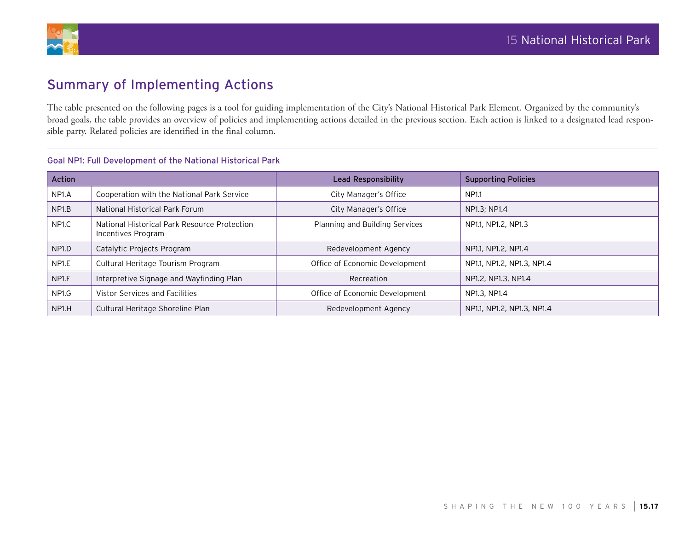

# Summary of Implementing Actions

The table presented on the following pages is a tool for guiding implementation of the City's National Historical Park Element. Organized by the community's broad goals, the table provides an overview of policies and implementing actions detailed in the previous section. Each action is linked to a designated lead responsible party. Related policies are identified in the final column.

| <b>Action</b>      |                                                                    | <b>Lead Responsibility</b>     | <b>Supporting Policies</b> |  |  |
|--------------------|--------------------------------------------------------------------|--------------------------------|----------------------------|--|--|
| NP1.A              | Cooperation with the National Park Service                         | City Manager's Office          | NP1.1                      |  |  |
| NP <sub>1.</sub> B | National Historical Park Forum                                     | City Manager's Office          | NP1.3; NP1.4               |  |  |
| NP1.C              | National Historical Park Resource Protection<br>Incentives Program | Planning and Building Services | NP1.1, NP1.2, NP1.3        |  |  |
| NP <sub>1.D</sub>  | Catalytic Projects Program                                         | Redevelopment Agency           | NP1.1, NP1.2, NP1.4        |  |  |
| NP <sub>1.E</sub>  | Cultural Heritage Tourism Program                                  | Office of Economic Development | NP1.1, NP1.2, NP1.3, NP1.4 |  |  |
| NP <sub>1.F</sub>  | Interpretive Signage and Wayfinding Plan                           | Recreation                     | NP1.2, NP1.3, NP1.4        |  |  |
| NP <sub>1.G</sub>  | Vistor Services and Facilities                                     | Office of Economic Development | NP1.3, NP1.4               |  |  |
| NP <sub>1</sub> H  | Cultural Heritage Shoreline Plan                                   | Redevelopment Agency           | NP1.1, NP1.2, NP1.3, NP1.4 |  |  |

### Goal NP1: Full Development of the National Historical Park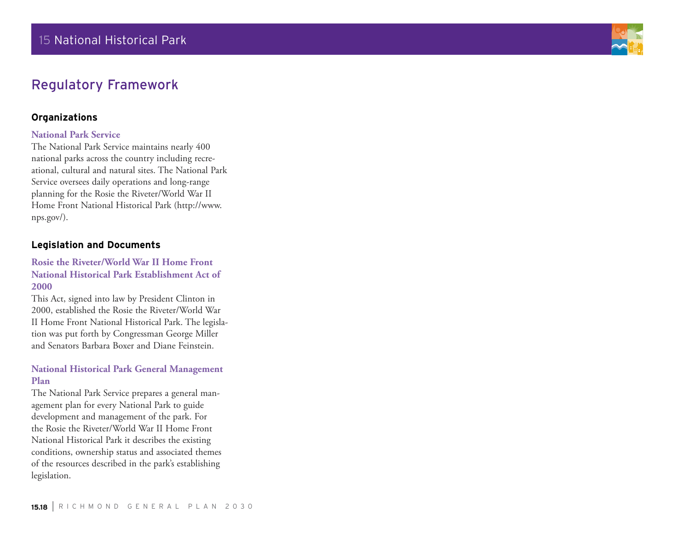

# Regulatory Framework

### **Organizations**

### **National Park Service**

The National Park Service maintains nearly 400 national parks across the country including recreational, cultural and natural sites. The National Park Service oversees daily operations and long-range planning for the Rosie the Riveter/World War II Home Front National Historical Park (http://www. nps.gov/).

### **Legislation and Documents**

### **Rosie the Riveter/World War II Home Front National Historical Park Establishment Act of 2000**

This Act, signed into law by President Clinton in 2000, established the Rosie the Riveter/World War II Home Front National Historical Park. The legislation was put forth by Congressman George Miller and Senators Barbara Boxer and Diane Feinstein.

### **National Historical Park General Management Plan**

The National Park Service prepares a general management plan for every National Park to guide development and management of the park. For the Rosie the Riveter/World War II Home Front National Historical Park it describes the existing conditions, ownership status and associated themes of the resources described in the park's establishing legislation.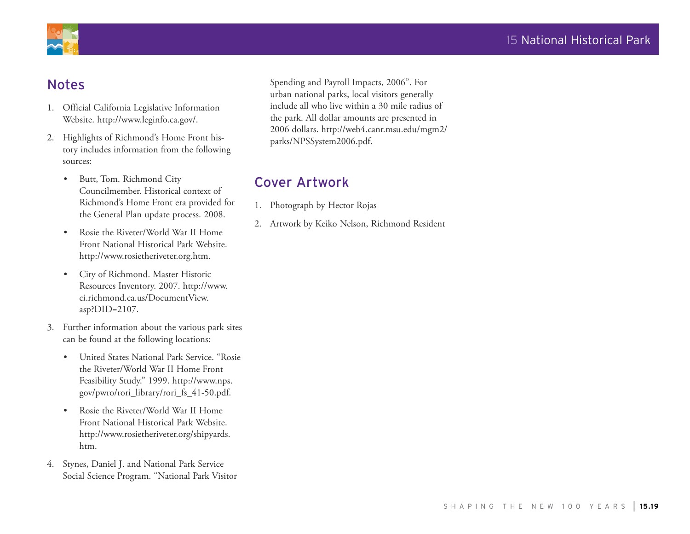

# Notes

- 1. Official California Legislative Information Website. http://www.leginfo.ca.gov/.
- 2. Highlights of Richmond's Home Front history includes information from the following sources:
	- • Butt, Tom. Richmond City Councilmember. Historical context of Richmond's Home Front era provided for the General Plan update process. 2008.
	- Rosie the Riveter/World War II Home Front National Historical Park Website. http://www.rosietheriveter.org.htm.
	- • City of Richmond. Master Historic Resources Inventory. 2007. http://www. ci.richmond.ca.us/DocumentView. asp?DID=2107.
- 3. Further information about the various park sites can be found at the following locations:
	- • United States National Park Service. "Rosie the Riveter/World War II Home Front Feasibility Study." 1999. http://www.nps. gov/pwro/rori\_library/rori\_fs\_41-50.pdf.
	- Rosie the Riveter/World War II Home Front National Historical Park Website. http://www.rosietheriveter.org/shipyards. htm.
- 4. Stynes, Daniel J. and National Park Service Social Science Program. "National Park Visitor

Spending and Payroll Impacts, 2006". For urban national parks, local visitors generally include all who live within a 30 mile radius of the park. All dollar amounts are presented in 2006 dollars. http://web4.canr.msu.edu/mgm2/ parks/NPSSystem2006.pdf.

# Cover Artwork

- 1. Photograph by Hector Rojas
- 2. Artwork by Keiko Nelson, Richmond Resident